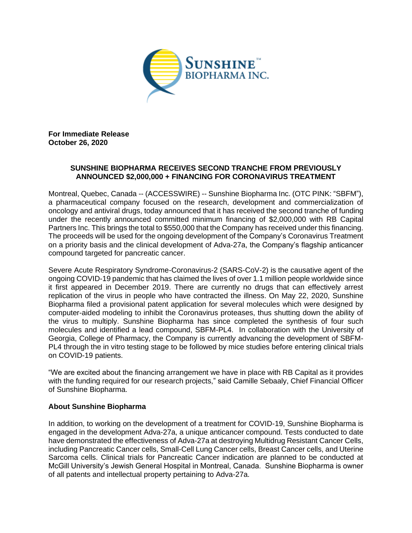

**For Immediate Release October 26, 2020**

## **SUNSHINE BIOPHARMA RECEIVES SECOND TRANCHE FROM PREVIOUSLY ANNOUNCED \$2,000,000 + FINANCING FOR CORONAVIRUS TREATMENT**

Montreal, Quebec, Canada -- (ACCESSWIRE) -- Sunshine Biopharma Inc. (OTC PINK: "SBFM"), a pharmaceutical company focused on the research, development and commercialization of oncology and antiviral drugs, today announced that it has received the second tranche of funding under the recently announced committed minimum financing of \$2,000,000 with RB Capital Partners Inc. This brings the total to \$550,000 that the Company has received under this financing. The proceeds will be used for the ongoing development of the Company's Coronavirus Treatment on a priority basis and the clinical development of Adva-27a, the Company's flagship anticancer compound targeted for pancreatic cancer.

Severe Acute Respiratory Syndrome-Coronavirus-2 (SARS-CoV-2) is the causative agent of the ongoing COVID-19 pandemic that has claimed the lives of over 1.1 million people worldwide since it first appeared in December 2019. There are currently no drugs that can effectively arrest replication of the virus in people who have contracted the illness. On May 22, 2020, Sunshine Biopharma filed a provisional patent application for several molecules which were designed by computer-aided modeling to inhibit the Coronavirus proteases, thus shutting down the ability of the virus to multiply. Sunshine Biopharma has since completed the synthesis of four such molecules and identified a lead compound, SBFM-PL4. In collaboration with the University of Georgia, College of Pharmacy, the Company is currently advancing the development of SBFM-PL4 through the in vitro testing stage to be followed by mice studies before entering clinical trials on COVID-19 patients.

"We are excited about the financing arrangement we have in place with RB Capital as it provides with the funding required for our research projects," said Camille Sebaaly, Chief Financial Officer of Sunshine Biopharma.

## **About Sunshine Biopharma**

In addition, to working on the development of a treatment for COVID-19, Sunshine Biopharma is engaged in the development Adva-27a, a unique anticancer compound. Tests conducted to date have demonstrated the effectiveness of Adva-27a at destroying Multidrug Resistant Cancer Cells, including Pancreatic Cancer cells, Small-Cell Lung Cancer cells, Breast Cancer cells, and Uterine Sarcoma cells. Clinical trials for Pancreatic Cancer indication are planned to be conducted at McGill University's Jewish General Hospital in Montreal, Canada. Sunshine Biopharma is owner of all patents and intellectual property pertaining to Adva-27a.